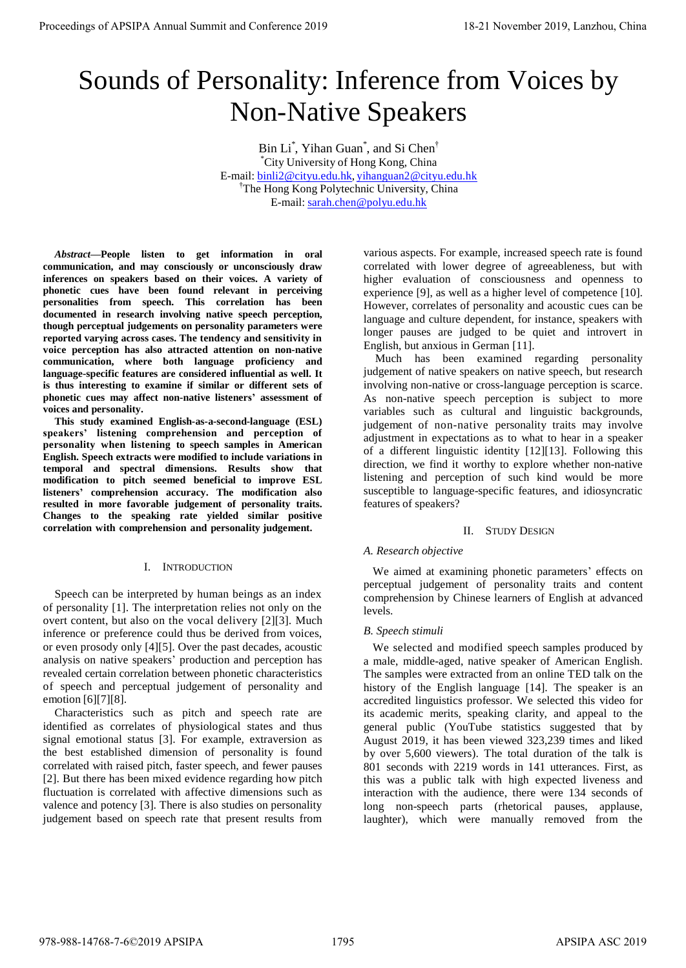# Sounds of Personality: Inference from Voices by Non-Native Speakers

Bin Li<sup>\*</sup>, Yihan Guan<sup>\*</sup>, and Si Chen<sup>†</sup> \*City University of Hong Kong, China E-mail: binli2@cityu.edu.hk, yihanguan2@cityu.edu.hk †The Hong Kong Polytechnic University, China E-mail: sarah.chen@polyu.edu.hk

*Abstract***—People listen to get information in oral communication, and may consciously or unconsciously draw inferences on speakers based on their voices. A variety of phonetic cues have been found relevant in perceiving personalities from speech. This correlation has been documented in research involving native speech perception, though perceptual judgements on personality parameters were reported varying across cases. The tendency and sensitivity in voice perception has also attracted attention on non-native communication, where both language proficiency and language-specific features are considered influential as well. It is thus interesting to examine if similar or different sets of phonetic cues may affect non-native listeners' assessment of voices and personality.**

**This study examined English-as-a-second-language (ESL) speakers' listening comprehension and perception of personality when listening to speech samples in American English. Speech extracts were modified to include variations in temporal and spectral dimensions. Results show that modification to pitch seemed beneficial to improve ESL listeners' comprehension accuracy. The modification also resulted in more favorable judgement of personality traits. Changes to the speaking rate yielded similar positive correlation with comprehension and personality judgement.**

# I. INTRODUCTION

Speech can be interpreted by human beings as an index of personality [1]. The interpretation relies not only on the overt content, but also on the vocal delivery [2][3]. Much inference or preference could thus be derived from voices, or even prosody only [4][5]. Over the past decades, acoustic analysis on native speakers' production and perception has revealed certain correlation between phonetic characteristics of speech and perceptual judgement of personality and emotion [6][7][8].

Characteristics such as pitch and speech rate are identified as correlates of physiological states and thus signal emotional status [3]. For example, extraversion as the best established dimension of personality is found correlated with raised pitch, faster speech, and fewer pauses [2]. But there has been mixed evidence regarding how pitch fluctuation is correlated with affective dimensions such as valence and potency [3]. There is also studies on personality judgement based on speech rate that present results from

various aspects. For example, increased speech rate is found correlated with lower degree of agreeableness, but with higher evaluation of consciousness and openness to experience [9], as well as a higher level of competence [10]. However, correlates of personality and acoustic cues can be language and culture dependent, for instance, speakers with longer pauses are judged to be quiet and introvert in English, but anxious in German [11].

Much has been examined regarding personality judgement of native speakers on native speech, but research involving non-native or cross-language perception is scarce. As non-native speech perception is subject to more variables such as cultural and linguistic backgrounds, judgement of non-native personality traits may involve adjustment in expectations as to what to hear in a speaker of a different linguistic identity [12][13]. Following this direction, we find it worthy to explore whether non-native listening and perception of such kind would be more susceptible to language-specific features, and idiosyncratic features of speakers?

# II. STUDY DESIGN

# *A. Research objective*

We aimed at examining phonetic parameters' effects on perceptual judgement of personality traits and content comprehension by Chinese learners of English at advanced levels.

# *B. Speech stimuli*

We selected and modified speech samples produced by a male, middle-aged, native speaker of American English. The samples were extracted from an online TED talk on the history of the English language [14]. The speaker is an accredited linguistics professor. We selected this video for its academic merits, speaking clarity, and appeal to the general public (YouTube statistics suggested that by August 2019, it has been viewed 323,239 times and liked by over 5,600 viewers). The total duration of the talk is 801 seconds with 2219 words in 141 utterances. First, as this was a public talk with high expected liveness and interaction with the audience, there were 134 seconds of long non-speech parts (rhetorical pauses, applause, laughter), which were manually removed from the Proceedings of APSIPA Annual Summit and Conference 2019<br>
Sources Annual Summit and Conference 2019<br>
Normal Summit and Conference 2019<br>
The Consequence 2019<br>
The Consequence 2019<br>
The Consequence 2019<br>
The Consequence 2019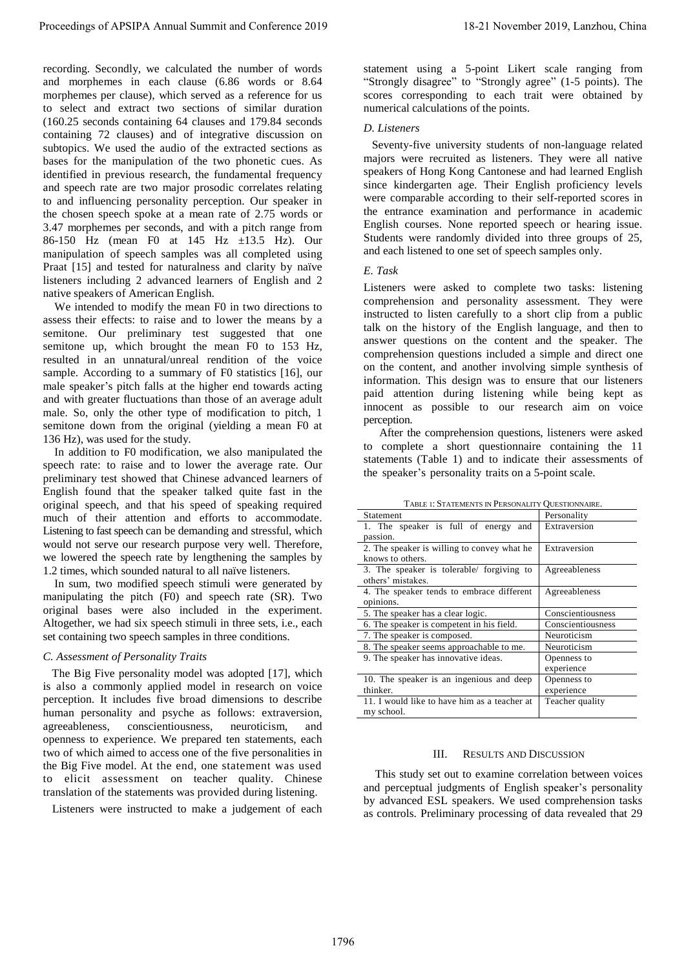# *C. Assessment of Personality Traits*

# *E. Task*

TABLE 1: STATEMENTS IN PERSONALITY QUESTIONNAIRE.

| Proceedings of APSIPA Annual Summit and Conference 2019<br>recording. Secondly, we calculated the number of words<br>and morphemes in each clause (6.86 words or 8.64<br>morphemes per clause), which served as a reference for us<br>to select and extract two sections of similar duration<br>(160.25 seconds containing 64 clauses and 179.84 seconds<br>containing 72 clauses) and of integrative discussion on<br>subtopics. We used the audio of the extracted sections as<br>bases for the manipulation of the two phonetic cues. As<br>identified in previous research, the fundamental frequency<br>and speech rate are two major prosodic correlates relating<br>to and influencing personality perception. Our speaker in<br>the chosen speech spoke at a mean rate of 2.75 words or<br>3.47 morphemes per seconds, and with a pitch range from<br>86-150 Hz (mean F0 at 145 Hz ±13.5 Hz). Our<br>manipulation of speech samples was all completed using<br>Praat [15] and tested for naturalness and clarity by naïve<br>listeners including 2 advanced learners of English and 2<br>native speakers of American English.<br>We intended to modify the mean F0 in two directions to<br>assess their effects: to raise and to lower the means by a<br>semitone. Our preliminary test suggested that one<br>semitone up, which brought the mean F0 to 153 Hz,<br>resulted in an unnatural/unreal rendition of the voice<br>sample. According to a summary of F0 statistics [16], our<br>male speaker's pitch falls at the higher end towards acting<br>and with greater fluctuations than those of an average adult<br>male. So, only the other type of modification to pitch, 1<br>semitone down from the original (yielding a mean F0 at<br>136 Hz), was used for the study.<br>In addition to F0 modification, we also manipulated the<br>speech rate: to raise and to lower the average rate. Our<br>preliminary test showed that Chinese advanced learners of<br>English found that the speaker talked quite fast in the<br>original speech, and that his speed of speaking required<br>much of their attention and efforts to accommodate.<br>Listening to fast speech can be demanding and stressful, which<br>would not serve our research purpose very well. Therefore,<br>we lowered the speech rate by lengthening the samples by<br>1.2 times, which sounded natural to all naïve listeners.<br>In sum, two modified speech stimuli were generated by<br>manipulating the pitch (F0) and speech rate (SR). Two<br>original bases were also included in the experiment.<br>Altogether, we had six speech stimuli in three sets, i.e., each<br>set containing two speech samples in three conditions.<br>C. Assessment of Personality Traits<br>The Big Five personality model was adopted [17], which<br>is also a commonly applied model in research on voice<br>perception. It includes five broad dimensions to describe<br>human personality and psyche as follows: extraversion,<br>conscientiousness,<br>agreeableness,<br>neuroticism,<br>and<br>openness to experience. We prepared ten statements, each<br>two of which aimed to access one of the five personalities in<br>the Big Five model. At the end, one statement was used<br>to elicit assessment on teacher quality. Chinese<br>translation of the statements was provided during listening.<br>Listeners were instructed to make a judgement of each | 18-21 November 2019, Lanzhou, China<br>statement using a 5-point Likert scale ranging from<br>"Strongly disagree" to "Strongly agree" (1-5 points). The<br>scores corresponding to each trait were obtained by<br>numerical calculations of the points.<br>D. Listeners<br>Seventy-five university students of non-language related<br>majors were recruited as listeners. They were all native<br>speakers of Hong Kong Cantonese and had learned English<br>since kindergarten age. Their English proficiency levels<br>were comparable according to their self-reported scores in<br>the entrance examination and performance in academic<br>English courses. None reported speech or hearing issue.<br>Students were randomly divided into three groups of 25,<br>and each listened to one set of speech samples only.<br>E. Task<br>Listeners were asked to complete two tasks: listening<br>comprehension and personality assessment. They were<br>instructed to listen carefully to a short clip from a public<br>talk on the history of the English language, and then to<br>answer questions on the content and the speaker. The<br>comprehension questions included a simple and direct one<br>on the content, and another involving simple synthesis of<br>information. This design was to ensure that our listeners<br>paid attention during listening while being kept as<br>innocent as possible to our research aim on voice<br>perception.<br>After the comprehension questions, listeners were asked<br>to complete a short questionnaire containing the 11<br>statements (Table 1) and to indicate their assessments of<br>the speaker's personality traits on a 5-point scale.<br>TABLE 1: STATEMENTS IN PERSONALITY QUESTIONNAIRE.<br>Statement<br>Personality<br>1. The speaker is full of energy and<br>Extraversion<br>passion.<br>2. The speaker is willing to convey what he<br>Extraversion<br>knows to others.<br>3. The speaker is tolerable/ forgiving to<br>Agreeableness<br>others' mistakes.<br>4. The speaker tends to embrace different<br>Agreeableness<br>opinions.<br>5. The speaker has a clear logic.<br>Conscientiousness<br>6. The speaker is competent in his field.<br>Conscientiousness<br>7. The speaker is composed.<br>Neuroticism<br>8. The speaker seems approachable to me.<br>Neuroticism<br>9. The speaker has innovative ideas.<br>Openness to<br>experience<br>10. The speaker is an ingenious and deep<br>Openness to<br>experience<br>thinker.<br>11. I would like to have him as a teacher at<br>Teacher quality<br>my school.<br>Ш.<br><b>RESULTS AND DISCUSSION</b><br>This study set out to examine correlation between voices<br>and perceptual judgments of English speaker's personality<br>by advanced ESL speakers. We used comprehension tasks<br>as controls. Preliminary processing of data revealed that 29 |
|-----------------------------------------------------------------------------------------------------------------------------------------------------------------------------------------------------------------------------------------------------------------------------------------------------------------------------------------------------------------------------------------------------------------------------------------------------------------------------------------------------------------------------------------------------------------------------------------------------------------------------------------------------------------------------------------------------------------------------------------------------------------------------------------------------------------------------------------------------------------------------------------------------------------------------------------------------------------------------------------------------------------------------------------------------------------------------------------------------------------------------------------------------------------------------------------------------------------------------------------------------------------------------------------------------------------------------------------------------------------------------------------------------------------------------------------------------------------------------------------------------------------------------------------------------------------------------------------------------------------------------------------------------------------------------------------------------------------------------------------------------------------------------------------------------------------------------------------------------------------------------------------------------------------------------------------------------------------------------------------------------------------------------------------------------------------------------------------------------------------------------------------------------------------------------------------------------------------------------------------------------------------------------------------------------------------------------------------------------------------------------------------------------------------------------------------------------------------------------------------------------------------------------------------------------------------------------------------------------------------------------------------------------------------------------------------------------------------------------------------------------------------------------------------------------------------------------------------------------------------------------------------------------------------------------------------------------------------------------------------------------------------------------------------------------------------------------------------------------------------------------------------------------------------------------------------------------------------------------------------------------------------------------------------------------------------------------------------------------------------------------------------------------------------------------------------------|----------------------------------------------------------------------------------------------------------------------------------------------------------------------------------------------------------------------------------------------------------------------------------------------------------------------------------------------------------------------------------------------------------------------------------------------------------------------------------------------------------------------------------------------------------------------------------------------------------------------------------------------------------------------------------------------------------------------------------------------------------------------------------------------------------------------------------------------------------------------------------------------------------------------------------------------------------------------------------------------------------------------------------------------------------------------------------------------------------------------------------------------------------------------------------------------------------------------------------------------------------------------------------------------------------------------------------------------------------------------------------------------------------------------------------------------------------------------------------------------------------------------------------------------------------------------------------------------------------------------------------------------------------------------------------------------------------------------------------------------------------------------------------------------------------------------------------------------------------------------------------------------------------------------------------------------------------------------------------------------------------------------------------------------------------------------------------------------------------------------------------------------------------------------------------------------------------------------------------------------------------------------------------------------------------------------------------------------------------------------------------------------------------------------------------------------------------------------------------------------------------------------------------------------------------------------------------------------------------------------------------------------------------------------------------------------------------------------------------------------------------------------------------------------------------------------------------------------------------------------------------|
|                                                                                                                                                                                                                                                                                                                                                                                                                                                                                                                                                                                                                                                                                                                                                                                                                                                                                                                                                                                                                                                                                                                                                                                                                                                                                                                                                                                                                                                                                                                                                                                                                                                                                                                                                                                                                                                                                                                                                                                                                                                                                                                                                                                                                                                                                                                                                                                                                                                                                                                                                                                                                                                                                                                                                                                                                                                                                                                                                                                                                                                                                                                                                                                                                                                                                                                                                                                                                                               | 1796                                                                                                                                                                                                                                                                                                                                                                                                                                                                                                                                                                                                                                                                                                                                                                                                                                                                                                                                                                                                                                                                                                                                                                                                                                                                                                                                                                                                                                                                                                                                                                                                                                                                                                                                                                                                                                                                                                                                                                                                                                                                                                                                                                                                                                                                                                                                                                                                                                                                                                                                                                                                                                                                                                                                                                                                                                                                             |

# III. RESULTS AND DISCUSSION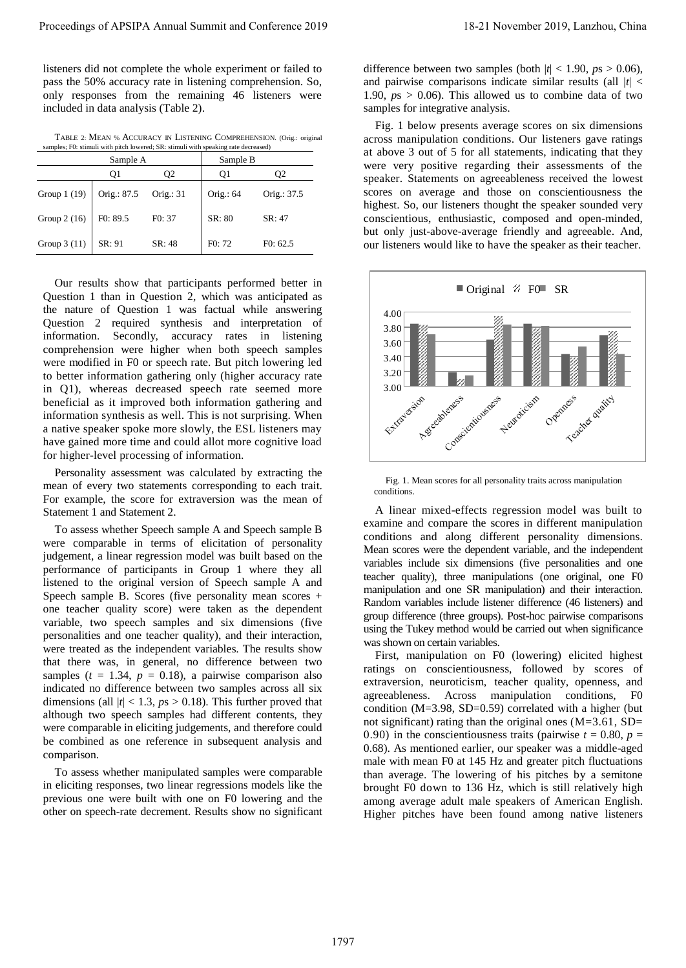listeners did not complete the whole experiment or failed to pass the 50% accuracy rate in listening comprehension. So, only responses from the remaining 46 listeners were included in data analysis (Table 2).

TABLE 2: MEAN % ACCURACY IN LISTENING COMPREHENSION. (Orig.: original samples; F0: stimuli with pitch lowered; SR: stimuli with speaking rate decreased)

| Sample A     |             | Sample B  |             |             |
|--------------|-------------|-----------|-------------|-------------|
|              | O1          | O2        | 01          | О2          |
| Group 1 (19) | Orig.: 87.5 | Orig.: 31 | Orig.: $64$ | Orig.: 37.5 |
| Group 2 (16) | F0: 89.5    | F0: 37    | SR: 80      | SR: 47      |
| Group 3 (11) | SR: 91      | SR: 48    | F0:72       | F0: 62.5    |

Our results show that participants performed better in Question 1 than in Question 2, which was anticipated as the nature of Question 1 was factual while answering Question 2 required synthesis and interpretation of information. Secondly, accuracy rates in listening comprehension were higher when both speech samples were modified in F0 or speech rate. But pitch lowering led to better information gathering only (higher accuracy rate in Q1), whereas decreased speech rate seemed more beneficial as it improved both information gathering and information synthesis as well. This is not surprising. When a native speaker spoke more slowly, the ESL listeners may have gained more time and could allot more cognitive load for higher-level processing of information.

Personality assessment was calculated by extracting the mean of every two statements corresponding to each trait. For example, the score for extraversion was the mean of Statement 1 and Statement 2.

To assess whether Speech sample A and Speech sample B were comparable in terms of elicitation of personality judgement, a linear regression model was built based on the performance of participants in Group 1 where they all listened to the original version of Speech sample A and Speech sample B. Scores (five personality mean scores + one teacher quality score) were taken as the dependent variable, two speech samples and six dimensions (five personalities and one teacher quality), and their interaction, were treated as the independent variables. The results show that there was, in general, no difference between two samples  $(t = 1.34, p = 0.18)$ , a pairwise comparison also indicated no difference between two samples across all six dimensions (all  $|t|$  < 1.3,  $p s > 0.18$ ). This further proved that although two speech samples had different contents, they were comparable in eliciting judgements, and therefore could be combined as one reference in subsequent analysis and comparison. Proceeding of APSIPA Annual Summit and Conference 2019<br>
Theoretical and Conference 2019 18-21 November 2019 18-21 November 2019 18-21 November 2019 18-21 November 2019 18-21 November 2019 18-21 November 2019 18-21 Novembe

To assess whether manipulated samples were comparable in eliciting responses, two linear regressions models like the previous one were built with one on F0 lowering and the other on speech-rate decrement. Results show no significant difference between two samples (both  $|t|$  < 1.90,  $ps$  > 0.06), and pairwise comparisons indicate similar results (all  $|t|$  < 1.90,  $p_s > 0.06$ ). This allowed us to combine data of two samples for integrative analysis.

Fig. 1 below presents average scores on six dimensions across manipulation conditions. Our listeners gave ratings at above 3 out of 5 for all statements, indicating that they were very positive regarding their assessments of the speaker. Statements on agreeableness received the lowest scores on average and those on conscientiousness the highest. So, our listeners thought the speaker sounded very conscientious, enthusiastic, composed and open-minded, but only just-above-average friendly and agreeable. And, our listeners would like to have the speaker as their teacher.



Fig. 1. Mean scores for all personality traits across manipulation conditions.

A linear mixed-effects regression model was built to examine and compare the scores in different manipulation conditions and along different personality dimensions. Mean scores were the dependent variable, and the independent variables include six dimensions (five personalities and one teacher quality), three manipulations (one original, one F0 manipulation and one SR manipulation) and their interaction. Random variables include listener difference (46 listeners) and group difference (three groups). Post-hoc pairwise comparisons using the Tukey method would be carried out when significance was shown on certain variables.

First, manipulation on F0 (lowering) elicited highest ratings on conscientiousness, followed by scores of extraversion, neuroticism, teacher quality, openness, and agreeableness. Across manipulation conditions, F0 condition ( $M=3.98$ , SD=0.59) correlated with a higher (but not significant) rating than the original ones  $(M=3.61, SD=$ 0.90) in the conscientiousness traits (pairwise  $t = 0.80$ ,  $p =$ 0.68). As mentioned earlier, our speaker was a middle-aged male with mean F0 at 145 Hz and greater pitch fluctuations than average. The lowering of his pitches by a semitone brought F0 down to 136 Hz, which is still relatively high among average adult male speakers of American English. Higher pitches have been found among native listeners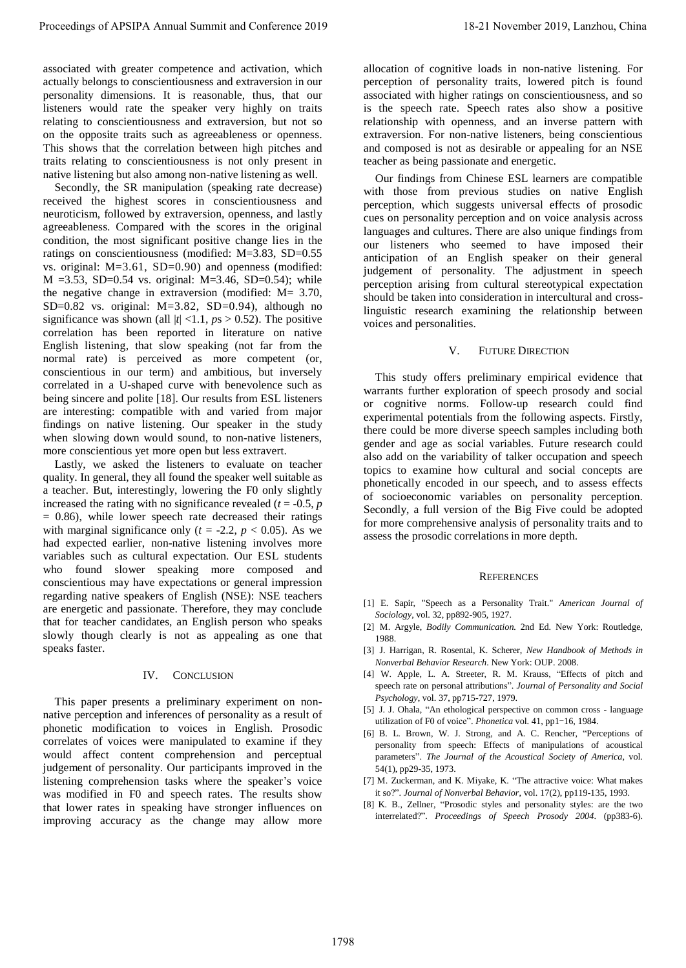associated with greater competence and activation, which actually belongs to conscientiousness and extraversion in our personality dimensions. It is reasonable, thus, that our listeners would rate the speaker very highly on traits relating to conscientiousness and extraversion, but not so on the opposite traits such as agreeableness or openness. This shows that the correlation between high pitches and traits relating to conscientiousness is not only present in native listening but also among non-native listening as well.

Secondly, the SR manipulation (speaking rate decrease) received the highest scores in conscientiousness and neuroticism, followed by extraversion, openness, and lastly agreeableness. Compared with the scores in the original condition, the most significant positive change lies in the ratings on conscientiousness (modified: M=3.83, SD=0.55 vs. original: M=3.61, SD=0.90) and openness (modified:  $M = 3.53$ , SD=0.54 vs. original: M=3.46, SD=0.54); while the negative change in extraversion (modified: M= 3.70, SD=0.82 vs. original:  $M=3.82$ , SD=0.94), although no significance was shown (all  $|t|$  <1.1,  $p_s$  > 0.52). The positive correlation has been reported in literature on native English listening, that slow speaking (not far from the normal rate) is perceived as more competent (or, conscientious in our term) and ambitious, but inversely correlated in a U-shaped curve with benevolence such as being sincere and polite [18]. Our results from ESL listeners are interesting: compatible with and varied from major findings on native listening. Our speaker in the study when slowing down would sound, to non-native listeners, more conscientious yet more open but less extravert. Proceeding of APSIPA Annual Summit and Conference 2019<br>
and a subset of APSIPA Annual Summit and the summit and the summit and a summit and a summit and a summit and a<br>
process of APSIPA Annual Summit and the summit and t

Lastly, we asked the listeners to evaluate on teacher quality. In general, they all found the speaker well suitable as a teacher. But, interestingly, lowering the F0 only slightly increased the rating with no significance revealed  $(t = -0.5, p)$  $= 0.86$ ), while lower speech rate decreased their ratings with marginal significance only  $(t = -2.2, p < 0.05)$ . As we had expected earlier, non-native listening involves more variables such as cultural expectation. Our ESL students who found slower speaking more composed and conscientious may have expectations or general impression regarding native speakers of English (NSE): NSE teachers are energetic and passionate. Therefore, they may conclude that for teacher candidates, an English person who speaks slowly though clearly is not as appealing as one that speaks faster.

# IV. CONCLUSION

This paper presents a preliminary experiment on nonnative perception and inferences of personality as a result of phonetic modification to voices in English. Prosodic correlates of voices were manipulated to examine if they would affect content comprehension and perceptual judgement of personality. Our participants improved in the listening comprehension tasks where the speaker's voice was modified in F0 and speech rates. The results show that lower rates in speaking have stronger influences on improving accuracy as the change may allow more

allocation of cognitive loads in non-native listening. For perception of personality traits, lowered pitch is found associated with higher ratings on conscientiousness, and so is the speech rate. Speech rates also show a positive relationship with openness, and an inverse pattern with extraversion. For non-native listeners, being conscientious and composed is not as desirable or appealing for an NSE teacher as being passionate and energetic.

Our findings from Chinese ESL learners are compatible with those from previous studies on native English perception, which suggests universal effects of prosodic cues on personality perception and on voice analysis across languages and cultures. There are also unique findings from our listeners who seemed to have imposed their anticipation of an English speaker on their general judgement of personality. The adjustment in speech perception arising from cultural stereotypical expectation should be taken into consideration in intercultural and crosslinguistic research examining the relationship between voices and personalities.

### V. FUTURE DIRECTION

This study offers preliminary empirical evidence that warrants further exploration of speech prosody and social or cognitive norms. Follow-up research could find experimental potentials from the following aspects. Firstly, there could be more diverse speech samples including both gender and age as social variables. Future research could also add on the variability of talker occupation and speech topics to examine how cultural and social concepts are phonetically encoded in our speech, and to assess effects of socioeconomic variables on personality perception. Secondly, a full version of the Big Five could be adopted for more comprehensive analysis of personality traits and to assess the prosodic correlations in more depth.

### **REFERENCES**

- [1] E. Sapir, "Speech as a Personality Trait." *American Journal of Sociology*, vol. 32, pp892-905, 1927.
- [2] M. Argyle, *Bodily Communication.* 2nd Ed. New York: Routledge, 1988.
- [3] J. Harrigan, R. Rosental, K. Scherer, *New Handbook of Methods in Nonverbal Behavior Research*. New York: OUP. 2008.
- [4] W. Apple, L. A. Streeter, R. M. Krauss, "Effects of pitch and speech rate on personal attributions". *Journal of Personality and Social Psychology*, vol. 37, pp715-727, 1979.
- [5] J. J. Ohala, "An ethological perspective on common cross language utilization of F0 of voice". *Phonetica* vol. 41, pp1-16, 1984.
- [6] B. L. Brown, W. J. Strong, and A. C. Rencher, "Perceptions of personality from speech: Effects of manipulations of acoustical parameters". *The Journal of the Acoustical Society of America,* vol. 54(1), pp29-35, 1973.
- [7] M. Zuckerman, and K. Miyake, K. "The attractive voice: What makes it so?". *Journal of Nonverbal Behavior*, vol. 17(2), pp119-135, 1993.
- [8] K. B., Zellner, "Prosodic styles and personality styles: are the two interrelated?". *Proceedings of Speech Prosody 2004*. (pp383-6).